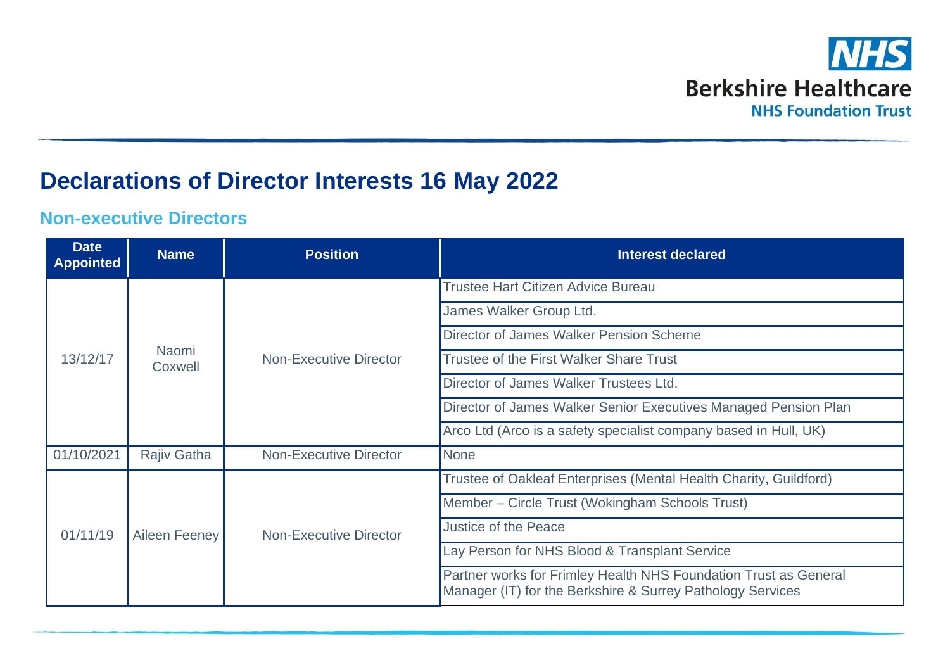

## **Declarations of Director Interests 16 May 2022**

## **Non-executive Directors**

| <b>Date</b><br><b>Appointed</b> | <b>Name</b>      | <b>Position</b>               | <b>Interest declared</b>                                                                                                       |
|---------------------------------|------------------|-------------------------------|--------------------------------------------------------------------------------------------------------------------------------|
| 13/12/17                        | Naomi<br>Coxwell | <b>Non-Executive Director</b> | Trustee Hart Citizen Advice Bureau                                                                                             |
|                                 |                  |                               | James Walker Group Ltd.                                                                                                        |
|                                 |                  |                               | Director of James Walker Pension Scheme                                                                                        |
|                                 |                  |                               | Trustee of the First Walker Share Trust                                                                                        |
|                                 |                  |                               | Director of James Walker Trustees Ltd.                                                                                         |
|                                 |                  |                               | Director of James Walker Senior Executives Managed Pension Plan                                                                |
|                                 |                  |                               | Arco Ltd (Arco is a safety specialist company based in Hull, UK)                                                               |
| 01/10/2021                      | Rajiv Gatha      | <b>Non-Executive Director</b> | <b>None</b>                                                                                                                    |
| 01/11/19                        | Aileen Feeney    | <b>Non-Executive Director</b> | Trustee of Oakleaf Enterprises (Mental Health Charity, Guildford)                                                              |
|                                 |                  |                               | Member – Circle Trust (Wokingham Schools Trust)                                                                                |
|                                 |                  |                               | Justice of the Peace                                                                                                           |
|                                 |                  |                               | Lay Person for NHS Blood & Transplant Service                                                                                  |
|                                 |                  |                               | Partner works for Frimley Health NHS Foundation Trust as General<br>Manager (IT) for the Berkshire & Surrey Pathology Services |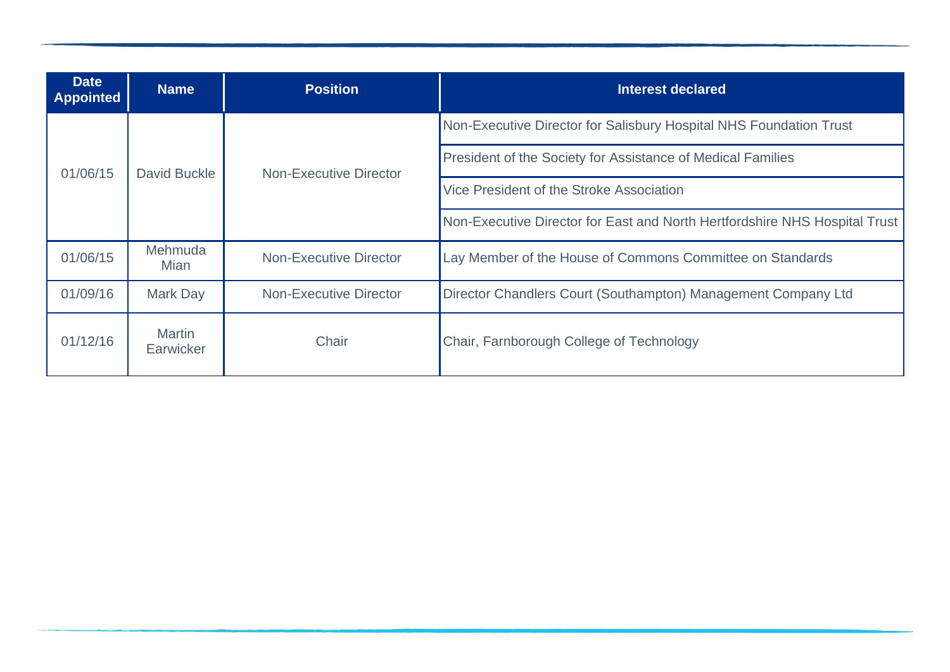| <b>Date</b><br><b>Appointed</b> | <b>Name</b>                | <b>Position</b>               | Interest declared                                                          |
|---------------------------------|----------------------------|-------------------------------|----------------------------------------------------------------------------|
| 01/06/15                        | David Buckle               | Non-Executive Director        | Non-Executive Director for Salisbury Hospital NHS Foundation Trust         |
|                                 |                            |                               | President of the Society for Assistance of Medical Families                |
|                                 |                            |                               | Vice President of the Stroke Association                                   |
|                                 |                            |                               | Non-Executive Director for East and North Hertfordshire NHS Hospital Trust |
| 01/06/15                        | Mehmuda<br>Mian            | <b>Non-Executive Director</b> | Lay Member of the House of Commons Committee on Standards                  |
| 01/09/16                        | <b>Mark Day</b>            | <b>Non-Executive Director</b> | Director Chandlers Court (Southampton) Management Company Ltd              |
| 01/12/16                        | <b>Martin</b><br>Earwicker | Chair                         | Chair, Farnborough College of Technology                                   |